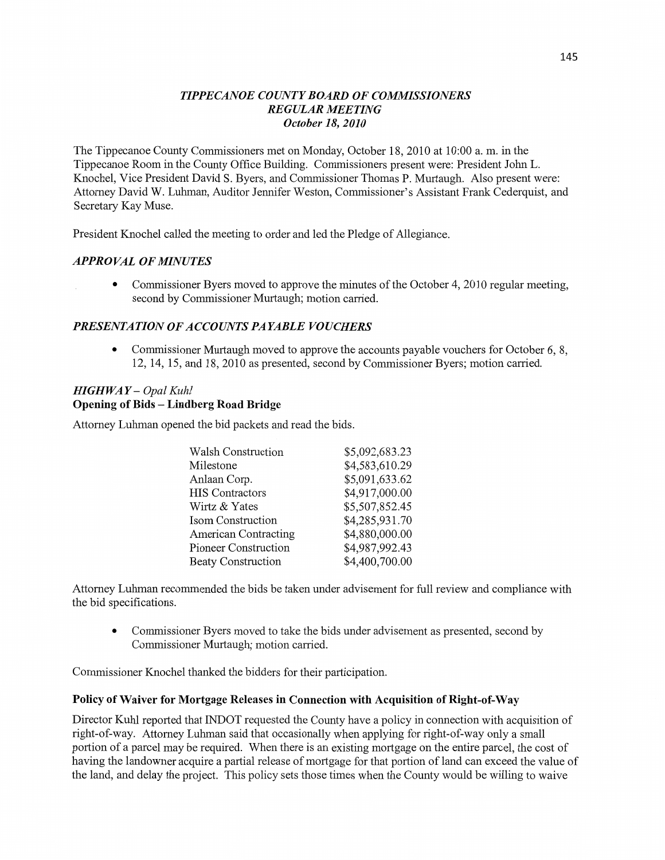## *TIPPECANOE COUNTY BOARD* OF *COMMISSIONERS REGULAR MEETING October* 18, *2010*

The Tippecanoe County Commissioners met on Monday, October 18, 2010 at **10:00** a. m. in the Tippecanoe Room in the County Office Building. Commissioners present were: President John L. Knochel, Vice President **David** S. Byers, and Commissioner Thomas P. Murtaugh. Also present were: Attorney David W. Luhman, Auditor Jennifer Weston, Commissioner's Assistant Frank Cederquist, and Secretary Kay Muse.

President Knochel called the meeting to order and led the Pledge of Allegiance.

### **APPROVAL OF MINUTES**

**0** Commissioner Byers moved to approve the **minutes** of the October 4, 2010 regular meeting, second by Commissioner Murtaugh; motion carried.

### *PRESENTATION* OF *ACCOUNTS PAYABLE VOUCHERS*

• Commissioner Murtaugh moved to approve the accounts payable vouchers for October 6, 8, 12, 14, 15, and 18, 2010 as presented, second by Commissioner Byers; motion carried.

## *HIGHWA Y* **—** *Opal Kuhl*  **Opening** of **Bids — Lindberg Road Bridge**

Attorney Luhman opened the bid packets and read the bids.

| Walsh Construction          | \$5,092,683.23 |
|-----------------------------|----------------|
| Milestone                   | \$4,583,610.29 |
| Anlaan Corp.                | \$5,091,633.62 |
| <b>HIS Contractors</b>      | \$4,917,000.00 |
| Wirtz & Yates               | \$5,507,852.45 |
| Isom Construction           | \$4,285,931.70 |
| <b>American Contracting</b> | \$4,880,000.00 |
| <b>Pioneer Construction</b> | \$4,987,992.43 |
| <b>Beaty Construction</b>   | \$4,400,700.00 |
|                             |                |

Attorney **Luhman** recommended the bids be taken under advisement for full review and compliance with the bid specifications. '

**0** Commissioner Byers **moved** to take the bids under advisement as presented, second by Commissioner Murtaugh; motion carried.

Commissioner Knochel thanked the bidders for their participation.

### **Policy** of **Waiver** for **Mortgage Releases** in **Connection with Acquisition** of **Right-of-Way**

Director Kuhl reported that INDOT requested the County have a policy in connection with acquisition of right-of—way. Attorney Luhman said that occasionally when applying for right-of-way only a small portion of a parcel may be required. When there is an existing mortgage on the entire parcel, the cost of having the landowner acquire a partial release of mortgage for **that** portion of land can exceed the value of the land, and delay the project. This policy sets those **times when** the County would be willing to waive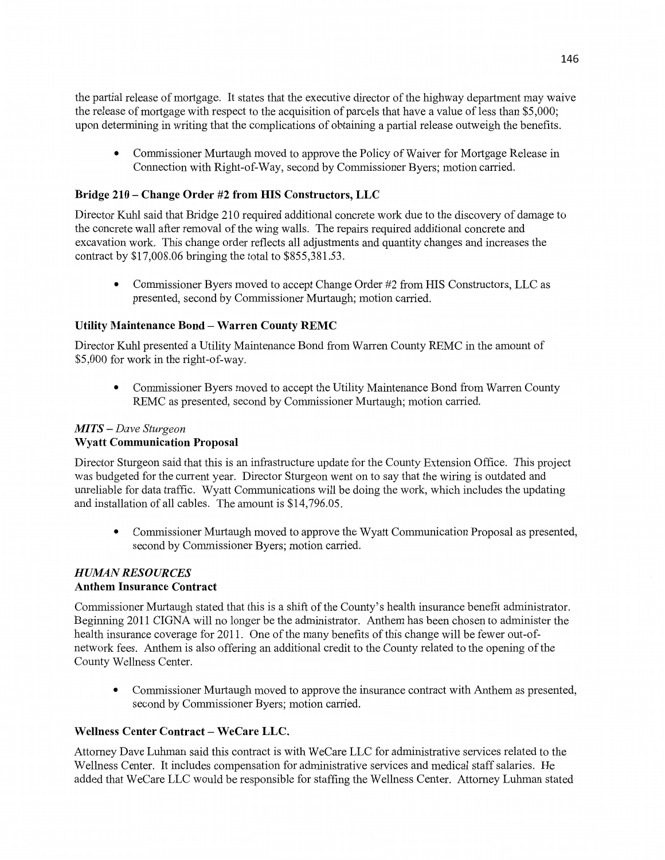the partial release of mortgage. It states that the executive director of the highway department may waive the release of mortgage with respect to the acquisition of parcels that have a value of less than \$5,000; upon determining in writing that the complications of obtaining a partial release outweigh the **benefits.** 

**0** Commissioner Murtaugh moved to approve the Policy of Waiver for Mortgage Release in Connection with Right-of-Way, second by Commissioner Byers; motion carried.

### **Bridge** 210 **— Change Order** #2 **from** HIS **Constructors,** LLC

Director Kuhl said that Bridge 210 required additional concrete work due to the discovery of damage to the concrete wall after removal of the wing walls. The repairs required **additional** concrete and excavation **work.** This change order reflects all adjustments and quantity changes and increases the contract by \$17,008.06 bringing the total to \$855,381.53.

**0** Commissioner Byers moved to accept Change Order #2 fiom HIS Constructors, LLC as presented, second by Commissioner Murtaugh; motion carried.

#### **Utility Maintenance Bond —** Warren **County REMC**

Director Kuhl presented a Utility Maintenance Bond fiom Warren County REMC in the **amount** of \$5,000 for work in the right-of-way.

**0** Commissioner Byers moved to accept the Utility Maintenance Bond from Warren County REMC as presented, second by Commissioner Murtaugh; motion carried.

### MTS — *Dave Sturgeon*  **Wyatt Communication Proposal**

Director Sturgeon said that this is an infrastructure update for the County **Extension Office.** This project was budgeted for the current year. Director Sturgeon went on to say that the wiring is outdated and unreliable for data traffic. Wyatt Communications will be doing the work, which includes the updating and installation of all cables. The **amount** is \$14,796.05.

**0** Commissioner Murtaugh moved to approve the Wyatt Communication Proposal as presented, second by Commissioner Byers; motion carried.

#### **HUMAN RESOURCES Anthem Insurance Contract**

Commissioner Murtaugh stated that **this** is a **shift** of the County's **health** insurance benefit **administrator.**  Beginning 2011 CIGNA will no longer be the administrator. **Anthem** has **been** chosen to administer the health insurance coverage for 2011. One of the many benefits of this change will be fewer out-ofnetwork fees. **Anthem** is also offering an additional credit to the County related to the opening of the County Wellness Center.

**0** Commissioner Murtaugh moved to approve the insurance contract with **Anthem** as presented, second by Commissioner Byers; motion carried.

### Wellness **Center Contract** — **WeCare LLC.**

Attorney Dave **Luhman** said this contract is with WeCare LLC for administrative services related to the Wellness Center. It includes compensation for administrative services and medical staff salaries. He added that WeCare LLC would be responsible for staffing the Wellness Center. Attorney **Luhman** stated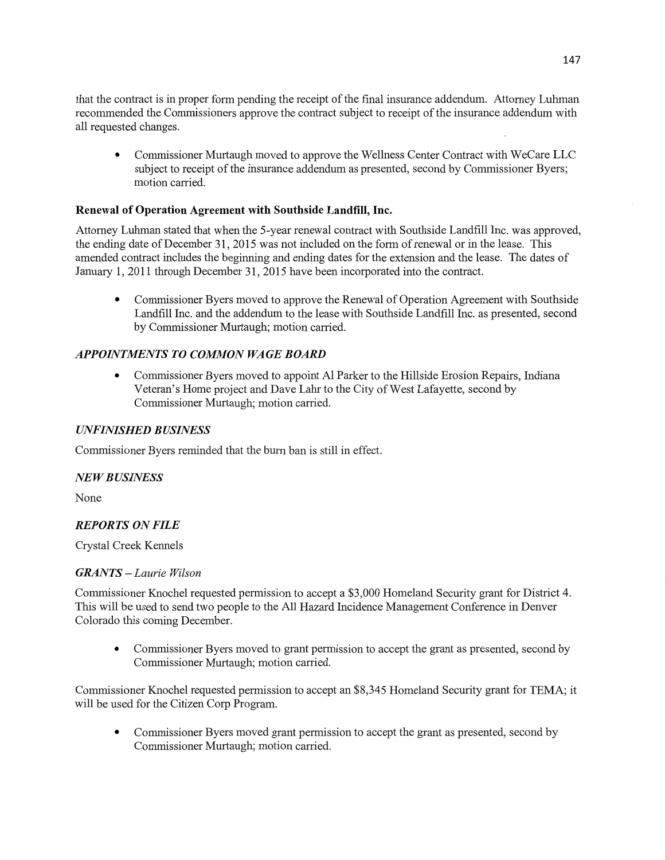that the contract is in proper form pending the receipt of the final insurance addendum. Attorney Luhman recommended the Commissioners approve the contract subject to receipt of the insurance addendum with all requested changes.

**0** Commissioner Murtaugh moved to approve the Wellness Center Contract with WeCare LLC subject to receipt of the insurance addendum as presented, second by Commissioner Byers; **motion** carried.

## **Renewal** of **Operation Agreement** with **Southside Landfill, Inc.**

Attorney Luhman stated that **when** the 5-year renewal contract with Southside Landfill Inc. was approved, the ending date of December 31, 2015 was not **included** on the form of renewal or in the lease. This amended contract includes the beginning and ending dates for the extension and the lease. The dates of January 1, 2011 through December 31, 2015 have been incorporated into the contract.

**0** Commissioner Byers moved to approve the Renewal of Operation Agreement with Southside Landfill **Inc.** and the addendum to the lease with **Southside Landfill** Inc. as presented, second by Commissioner Murtaugh; motion carried.

## *APPOINTMENTS* T0 *COMMON* WA GE *BOARD*

**0** Commissioner Byers moved to appoint Al Parker to the Hillside Erosion Repairs, Indiana Veteran's Home project and Dave Lahr to the City of West Lafayette, second by Commissioner Murtaugh; motion carried.

## *UNFINISHED B USINESS*

Commissioner Byers reminded **that** the burn ban is still in effect.

### NE *W B USINESS*

None

### *REPORTS* ON *FILE*

Crystal Creek Kennels

### *GRANTS – Laurie Wilson*

Commissioner **Knochel** requested permission to accept a \$3,000 Homeland Security grant for **District** 4. This Will be used to send two people to the All Hazard **Incidence** Management Conference in Denver Colorado this coming December.

**0** Commissioner Byers moved to grant permission to accept the grant as presented, second by Commissioner Murtaugh; motion carried.

Commissioner Knochel requested permission to accept an \$8,345 Homeland Security grant for **TEMA;** it will be used for the Citizen **Corp** Program.

**0** Commissioner Byers moved grant permission to accept the grant as presented, second by Commissioner Murtaugh; **motion** carried.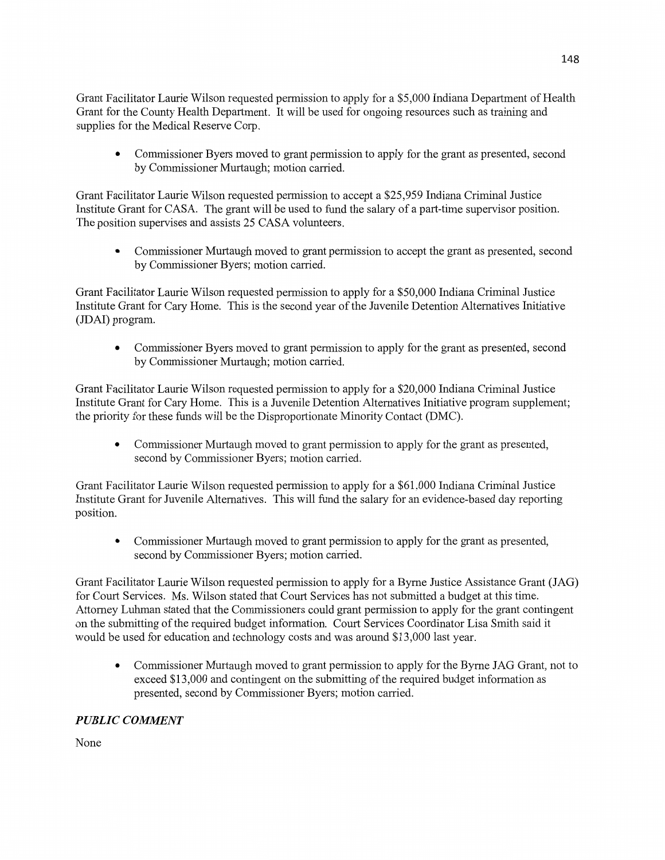Grant Facilitator Laurie Wilson requested permission to apply for a \$5,000 Indiana Department of Health Grant for the County **Health** Department. It will be used for ongoing resources **such** as training and supplies for the Medical Reserve Corp.

**0** Commissioner Byers moved to grant permission to apply for the grant as presented, second by Commissioner Murtaugh; **motion** carried.

Grant Facilitator Laurie Wilson requested permission to accept a \$25,959 **Indiana** Criminal Justice Institute Grant for CASA. The grant will be used to fund the salary of **a** part-time supervisor position. The position supervises and assists 25 CASA volunteers.

**0** Commissioner Murtaugh moved to grant permission to accept the grant as presented, second by Commissioner Byers; motion carried.

Grant Facilitator Laurie Wilson requested permission to apply for a \$50,000 **Indiana** Criminal Justice Institute Grant for Cary Home. **This** is the second year of the Juvenile Detention Alternatives **Initiative**  (JDAI) program.

**0** Commissioner Byers moved to grant **permission** to apply for the grant as presented, **second**  by Commissioner Murtaugh; motion carried.

Grant Facilitator Laurie Wilson requested permission to apply for a \$20,000 Indiana Criminal Justice Institute Grant for Cary Home. This is a Juvenile Detention Alternatives Initiative program supplement; the priority for these funds Will be the Disproportionate Minority Contact (DMC).

**0** Commissioner Murtaugh moved to grant permission to apply for the grant as presented, second by Commissioner Byers; motion carried.

Grant Facilitator Laurie Wilson requested permission to apply for a \$61,000 Indiana Criminal Justice Institute Grant for Juvenile Alternatives. **This** will fund the salaxy for an evidence-based day reporting position.

**0** Commissioner Murtaugh moved to grant permission to apply for the grant as presented, second by **Commissioner** Byers; motion carried.

Grant Facilitator Laurie Wilson requested permission to apply for a Byme Justice Assistance Grant (JAG) for Court Services. Ms. Wilson stated that Court Services has not submitted a budget at **this** time. Attorney Luhman stated **that** the Commissioners could grant permission to apply for the grant contingent on the submitting of the required budget information. Court Services Coordinator Lisa Smith said it would be used for education and technology costs and was around \$13,000 last year.

**0** Commissioner Murtaugh moved to grant permission to apply for the Byme JAG Grant, not to exceed \$13,000 and contingent on the submitting of the required budget information as presented, second by Commissioner Byers; **motion** carried.

# **PUBLIC COMMENT**

None